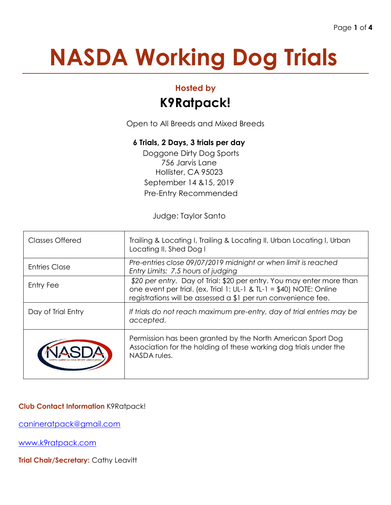# **NASDA Working Dog Trials**

### **Hosted by**

## **K9Ratpack!**

Open to All Breeds and Mixed Breeds

#### **6 Trials, 2 Days, 3 trials per day**

Doggone Dirty Dog Sports 756 Jarvis Lane Hollister, CA 95023 September 14 &15, 2019 Pre-Entry Recommended

Judge: Taylor Santo

| <b>Classes Offered</b> | Trailing & Locating I, Trailing & Locating II, Urban Locating I, Urban<br>Locating II, Shed Dog I                                                                                                               |
|------------------------|-----------------------------------------------------------------------------------------------------------------------------------------------------------------------------------------------------------------|
| <b>Entries Close</b>   | Pre-entries close 09/07/2019 midnight or when limit is reached<br>Entry Limits: 7.5 hours of judging                                                                                                            |
| Entry Fee              | \$20 per entry. Day of Trial: \$20 per entry. You may enter more than<br>one event per trial. (ex. Trial 1: UL-1 & TL-1 = $$40$ ) NOTE: Online<br>registrations will be assessed a \$1 per run convenience fee. |
| Day of Trial Entry     | If trials do not reach maximum pre-entry, day of trial entries may be<br>accepted.                                                                                                                              |
|                        | Permission has been granted by the North American Sport Dog<br>Association for the holding of these working dog trials under the<br>NASDA rules.                                                                |

#### **Club Contact Information** K9Ratpack!

[canineratpack@gmail.com](mailto:canineratpack@gmail.com)

[www.k9ratpack.com](http://www.k9ratpack.com/)

**Trial Chair/Secretary: Cathy Leavitt**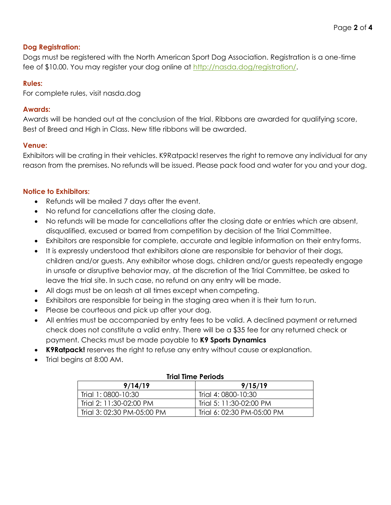#### **Dog Registration:**

Dogs must be registered with the North American Sport Dog Association. Registration is a one-time fee of \$10.00. You may register your dog online at [http://nasda.dog/registration/.](http://nasda.dog/registration/)

#### **Rules:**

For complete rules, visit nasda.dog

#### **Awards:**

Awards will be handed out at the conclusion of the trial. Ribbons are awarded for qualifying score, Best of Breed and High in Class. New title ribbons will be awarded.

#### **Venue:**

Exhibitors will be crating in their vehicles. K9Ratpack! reserves the right to remove any individual for any reason from the premises. No refunds will be issued. Please pack food and water for you and your dog.

#### **Notice to Exhibitors:**

- Refunds will be mailed 7 days after the event.
- No refund for cancellations after the closing date.
- No refunds will be made for cancellations after the closing date or entries which are absent, disqualified, excused or barred from competition by decision of the Trial Committee.
- Exhibitors are responsible for complete, accurate and legible information on their entryforms.
- It is expressly understood that exhibitors alone are responsible for behavior of their dogs, children and/or guests. Any exhibitor whose dogs, children and/or guests repeatedly engage in unsafe or disruptive behavior may, at the discretion of the Trial Committee, be asked to leave the trial site. In such case, no refund on any entry will be made.
- All dogs must be on leash at all times except when competing.
- Exhibitors are responsible for being in the staging area when it is their turn to run.
- Please be courteous and pick up after your dog.
- All entries must be accompanied by entry fees to be valid. A declined payment or returned check does not constitute a valid entry. There will be a \$35 fee for any returned check or payment. Checks must be made payable to **K9 Sports Dynamics**
- **K9Ratpack!** reserves the right to refuse any entry without cause or explanation.
- Trial begins at 8:00 AM.

| <u>HIUI IIIIIE FEIIUUS</u> |                            |  |  |  |
|----------------------------|----------------------------|--|--|--|
| 9/14/19                    | 9/15/19                    |  |  |  |
| Trial 1:0800-10:30         | Trial 4: 0800-10:30        |  |  |  |
| Trial 2: 11:30-02:00 PM    | Trial 5: 11:30-02:00 PM    |  |  |  |
| Trial 3: 02:30 PM-05:00 PM | Trial 6: 02:30 PM-05:00 PM |  |  |  |

#### **Trial Time Periods**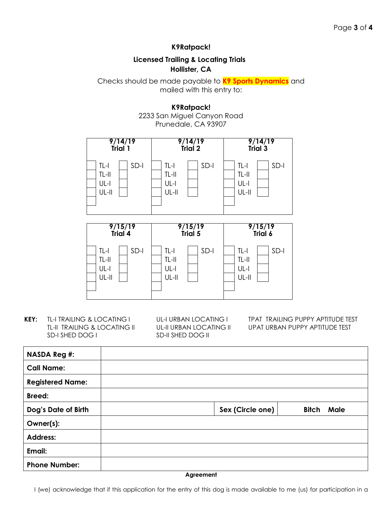#### **K9Ratpack!**

#### **Licensed Trailing & Locating Trials Hollister, CA**

Checks should be made payable to **K9 Sports Dynamics** and mailed with this entry to:

> **K9Ratpack!** 2233 San Miguel Canyon Road

> > Prunedale, CA 93907





**KEY:** TL-I TRAILING & LOCATING I UL-I URBAN LOCATING I TPAT TRAILING PUPPY APTITUDE TEST SD-I SHED DOG I SD-II SHED DOG II

TL-II TRAILING & LOCATING II UL-II URBAN LOCATING II UPAT URBAN PUPPY APTITUDE TEST

| <b>NASDA Reg #:</b>     |                  |                   |
|-------------------------|------------------|-------------------|
| <b>Call Name:</b>       |                  |                   |
| <b>Registered Name:</b> |                  |                   |
| <b>Breed:</b>           |                  |                   |
| Dog's Date of Birth     | Sex (Circle one) | <b>Bitch Male</b> |
| Owner(s):               |                  |                   |
| <b>Address:</b>         |                  |                   |
| Email:                  |                  |                   |
| <b>Phone Number:</b>    |                  |                   |

**Agreement**

I (we) acknowledge that if this application for the entry of this dog is made available to me (us) for participation in a